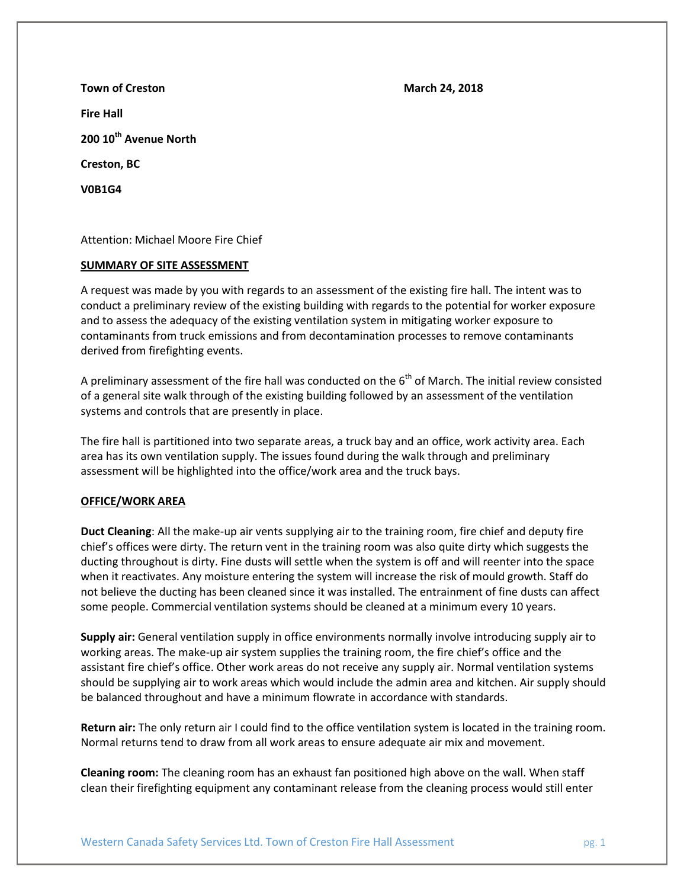**Town of Creston March 24, 2018 Fire Hall 200 10th Avenue North Creston, BC V0B1G4**

Attention: Michael Moore Fire Chief

# **SUMMARY OF SITE ASSESSMENT**

A request was made by you with regards to an assessment of the existing fire hall. The intent was to conduct a preliminary review of the existing building with regards to the potential for worker exposure and to assess the adequacy of the existing ventilation system in mitigating worker exposure to contaminants from truck emissions and from decontamination processes to remove contaminants derived from firefighting events.

A preliminary assessment of the fire hall was conducted on the  $6<sup>th</sup>$  of March. The initial review consisted of a general site walk through of the existing building followed by an assessment of the ventilation systems and controls that are presently in place.

The fire hall is partitioned into two separate areas, a truck bay and an office, work activity area. Each area has its own ventilation supply. The issues found during the walk through and preliminary assessment will be highlighted into the office/work area and the truck bays.

# **OFFICE/WORK AREA**

**Duct Cleaning**: All the make-up air vents supplying air to the training room, fire chief and deputy fire chief's offices were dirty. The return vent in the training room was also quite dirty which suggests the ducting throughout is dirty. Fine dusts will settle when the system is off and will reenter into the space when it reactivates. Any moisture entering the system will increase the risk of mould growth. Staff do not believe the ducting has been cleaned since it was installed. The entrainment of fine dusts can affect some people. Commercial ventilation systems should be cleaned at a minimum every 10 years.

**Supply air:** General ventilation supply in office environments normally involve introducing supply air to working areas. The make-up air system supplies the training room, the fire chief's office and the assistant fire chief's office. Other work areas do not receive any supply air. Normal ventilation systems should be supplying air to work areas which would include the admin area and kitchen. Air supply should be balanced throughout and have a minimum flowrate in accordance with standards.

**Return air:** The only return air I could find to the office ventilation system is located in the training room. Normal returns tend to draw from all work areas to ensure adequate air mix and movement.

**Cleaning room:** The cleaning room has an exhaust fan positioned high above on the wall. When staff clean their firefighting equipment any contaminant release from the cleaning process would still enter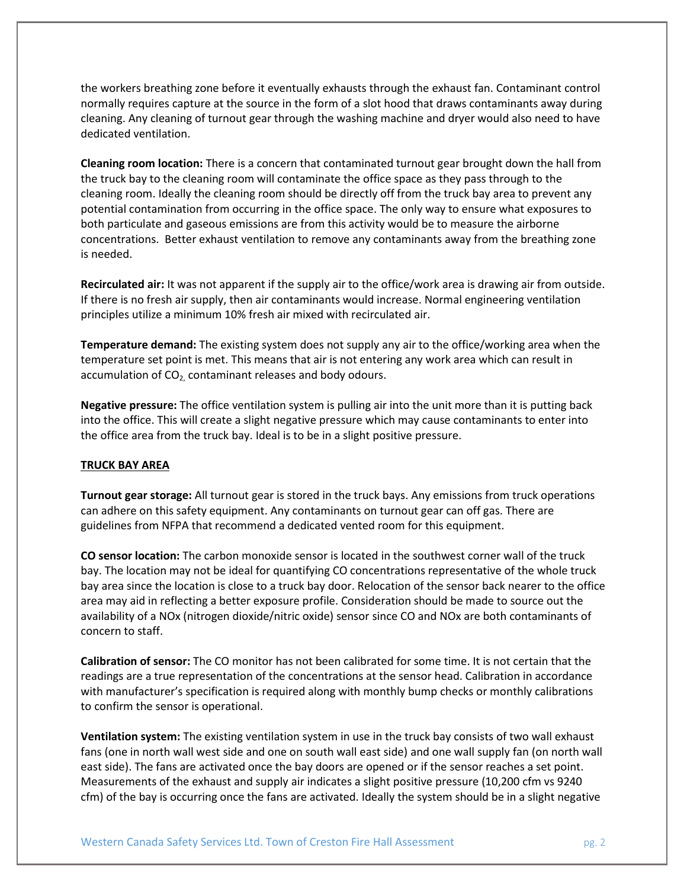the workers breathing zone before it eventually exhausts through the exhaust fan. Contaminant control normally requires capture at the source in the form of a slot hood that draws contaminants away during cleaning. Any cleaning of turnout gear through the washing machine and dryer would also need to have dedicated ventilation.

**Cleaning room location:** There is a concern that contaminated turnout gear brought down the hall from the truck bay to the cleaning room will contaminate the office space as they pass through to the cleaning room. Ideally the cleaning room should be directly off from the truck bay area to prevent any potential contamination from occurring in the office space. The only way to ensure what exposures to both particulate and gaseous emissions are from this activity would be to measure the airborne concentrations. Better exhaust ventilation to remove any contaminants away from the breathing zone is needed.

**Recirculated air:** It was not apparent if the supply air to the office/work area is drawing air from outside. If there is no fresh air supply, then air contaminants would increase. Normal engineering ventilation principles utilize a minimum 10% fresh air mixed with recirculated air.

**Temperature demand:** The existing system does not supply any air to the office/working area when the temperature set point is met. This means that air is not entering any work area which can result in accumulation of  $CO<sub>2</sub>$  contaminant releases and body odours.

**Negative pressure:** The office ventilation system is pulling air into the unit more than it is putting back into the office. This will create a slight negative pressure which may cause contaminants to enter into the office area from the truck bay. Ideal is to be in a slight positive pressure.

# **TRUCK BAY AREA**

**Turnout gear storage:** All turnout gear is stored in the truck bays. Any emissions from truck operations can adhere on this safety equipment. Any contaminants on turnout gear can off gas. There are guidelines from NFPA that recommend a dedicated vented room for this equipment.

**CO sensor location:** The carbon monoxide sensor is located in the southwest corner wall of the truck bay. The location may not be ideal for quantifying CO concentrations representative of the whole truck bay area since the location is close to a truck bay door. Relocation of the sensor back nearer to the office area may aid in reflecting a better exposure profile. Consideration should be made to source out the availability of a NOx (nitrogen dioxide/nitric oxide) sensor since CO and NOx are both contaminants of concern to staff.

**Calibration of sensor:** The CO monitor has not been calibrated for some time. It is not certain that the readings are a true representation of the concentrations at the sensor head. Calibration in accordance with manufacturer's specification is required along with monthly bump checks or monthly calibrations to confirm the sensor is operational.

**Ventilation system:** The existing ventilation system in use in the truck bay consists of two wall exhaust fans (one in north wall west side and one on south wall east side) and one wall supply fan (on north wall east side). The fans are activated once the bay doors are opened or if the sensor reaches a set point. Measurements of the exhaust and supply air indicates a slight positive pressure (10,200 cfm vs 9240 cfm) of the bay is occurring once the fans are activated. Ideally the system should be in a slight negative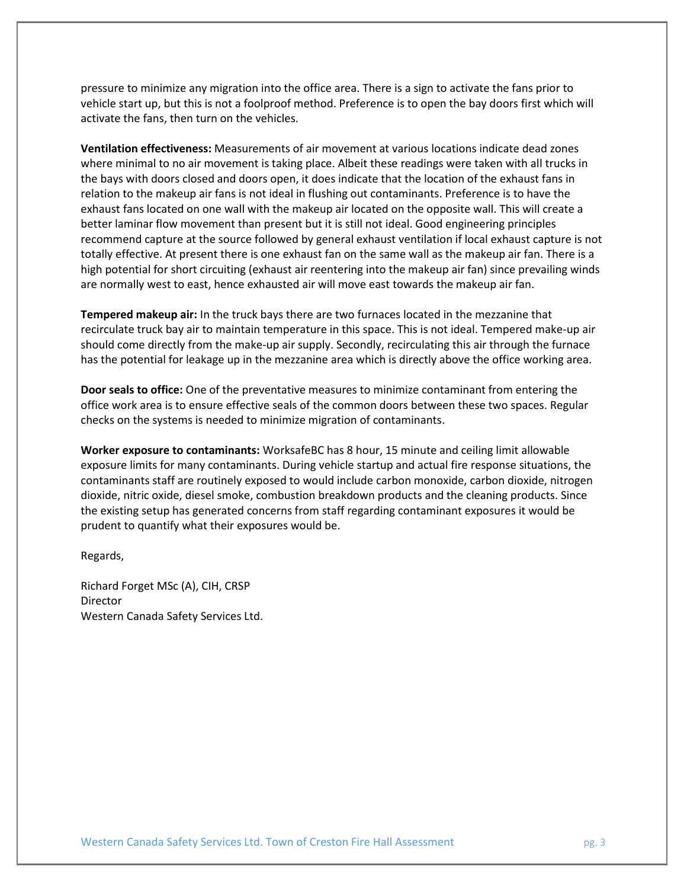pressure to minimize any migration into the office area. There is a sign to activate the fans prior to vehicle start up, but this is not a foolproof method. Preference is to open the bay doors first which will activate the fans, then turn on the vehicles.

**Ventilation effectiveness:** Measurements of air movement at various locations indicate dead zones where minimal to no air movement is taking place. Albeit these readings were taken with all trucks in the bays with doors closed and doors open, it does indicate that the location of the exhaust fans in relation to the makeup air fans is not ideal in flushing out contaminants. Preference is to have the exhaust fans located on one wall with the makeup air located on the opposite wall. This will create a better laminar flow movement than present but it is still not ideal. Good engineering principles recommend capture at the source followed by general exhaust ventilation if local exhaust capture is not totally effective. At present there is one exhaust fan on the same wall as the makeup air fan. There is a high potential for short circuiting (exhaust air reentering into the makeup air fan) since prevailing winds are normally west to east, hence exhausted air will move east towards the makeup air fan.

**Tempered makeup air:** In the truck bays there are two furnaces located in the mezzanine that recirculate truck bay air to maintain temperature in this space. This is not ideal. Tempered make-up air should come directly from the make-up air supply. Secondly, recirculating this air through the furnace has the potential for leakage up in the mezzanine area which is directly above the office working area.

**Door seals to office:** One of the preventative measures to minimize contaminant from entering the office work area is to ensure effective seals of the common doors between these two spaces. Regular checks on the systems is needed to minimize migration of contaminants.

**Worker exposure to contaminants:** WorksafeBC has 8 hour, 15 minute and ceiling limit allowable exposure limits for many contaminants. During vehicle startup and actual fire response situations, the contaminants staff are routinely exposed to would include carbon monoxide, carbon dioxide, nitrogen dioxide, nitric oxide, diesel smoke, combustion breakdown products and the cleaning products. Since the existing setup has generated concerns from staff regarding contaminant exposures it would be prudent to quantify what their exposures would be.

Regards,

Richard Forget MSc (A), CIH, CRSP Director Western Canada Safety Services Ltd.

Western Canada Safety Services Ltd. Town of Creston Fire Hall Assessment **pg. 3** pg. 3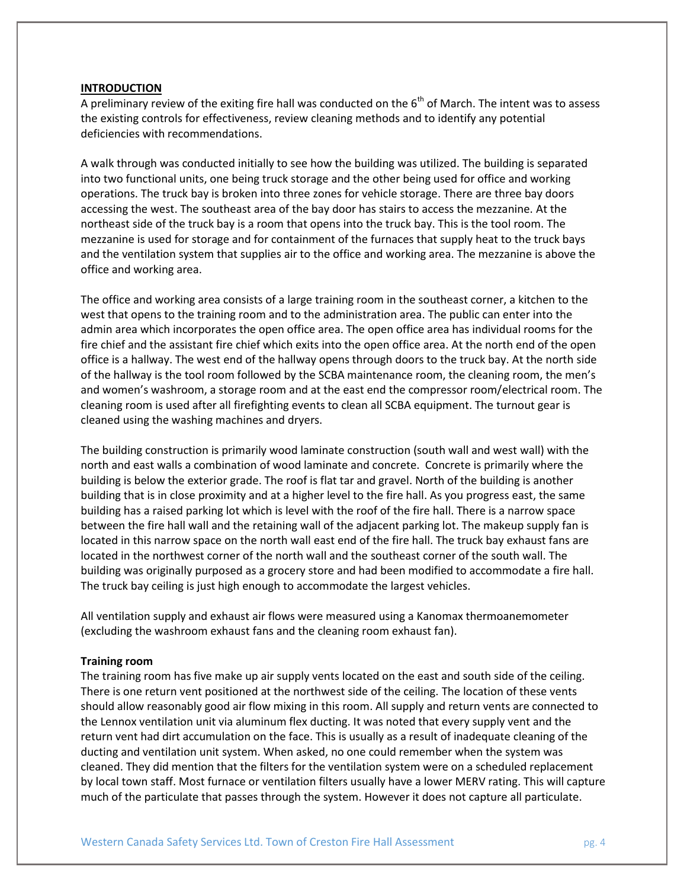#### **INTRODUCTION**

A preliminary review of the exiting fire hall was conducted on the  $6<sup>th</sup>$  of March. The intent was to assess the existing controls for effectiveness, review cleaning methods and to identify any potential deficiencies with recommendations.

A walk through was conducted initially to see how the building was utilized. The building is separated into two functional units, one being truck storage and the other being used for office and working operations. The truck bay is broken into three zones for vehicle storage. There are three bay doors accessing the west. The southeast area of the bay door has stairs to access the mezzanine. At the northeast side of the truck bay is a room that opens into the truck bay. This is the tool room. The mezzanine is used for storage and for containment of the furnaces that supply heat to the truck bays and the ventilation system that supplies air to the office and working area. The mezzanine is above the office and working area.

The office and working area consists of a large training room in the southeast corner, a kitchen to the west that opens to the training room and to the administration area. The public can enter into the admin area which incorporates the open office area. The open office area has individual rooms for the fire chief and the assistant fire chief which exits into the open office area. At the north end of the open office is a hallway. The west end of the hallway opens through doors to the truck bay. At the north side of the hallway is the tool room followed by the SCBA maintenance room, the cleaning room, the men's and women's washroom, a storage room and at the east end the compressor room/electrical room. The cleaning room is used after all firefighting events to clean all SCBA equipment. The turnout gear is cleaned using the washing machines and dryers.

The building construction is primarily wood laminate construction (south wall and west wall) with the north and east walls a combination of wood laminate and concrete. Concrete is primarily where the building is below the exterior grade. The roof is flat tar and gravel. North of the building is another building that is in close proximity and at a higher level to the fire hall. As you progress east, the same building has a raised parking lot which is level with the roof of the fire hall. There is a narrow space between the fire hall wall and the retaining wall of the adjacent parking lot. The makeup supply fan is located in this narrow space on the north wall east end of the fire hall. The truck bay exhaust fans are located in the northwest corner of the north wall and the southeast corner of the south wall. The building was originally purposed as a grocery store and had been modified to accommodate a fire hall. The truck bay ceiling is just high enough to accommodate the largest vehicles.

All ventilation supply and exhaust air flows were measured using a Kanomax thermoanemometer (excluding the washroom exhaust fans and the cleaning room exhaust fan).

#### **Training room**

The training room has five make up air supply vents located on the east and south side of the ceiling. There is one return vent positioned at the northwest side of the ceiling. The location of these vents should allow reasonably good air flow mixing in this room. All supply and return vents are connected to the Lennox ventilation unit via aluminum flex ducting. It was noted that every supply vent and the return vent had dirt accumulation on the face. This is usually as a result of inadequate cleaning of the ducting and ventilation unit system. When asked, no one could remember when the system was cleaned. They did mention that the filters for the ventilation system were on a scheduled replacement by local town staff. Most furnace or ventilation filters usually have a lower MERV rating. This will capture much of the particulate that passes through the system. However it does not capture all particulate.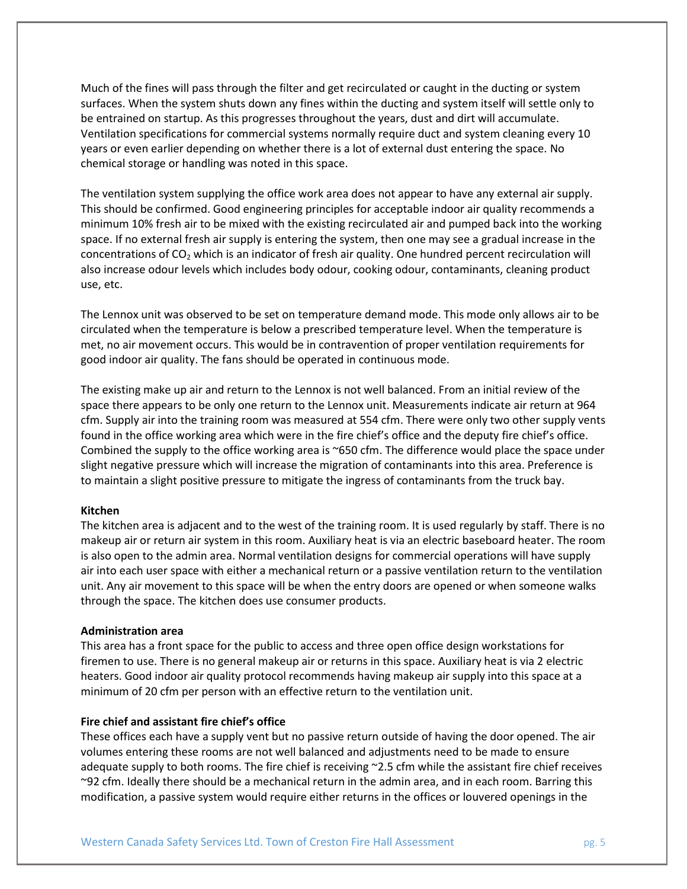Much of the fines will pass through the filter and get recirculated or caught in the ducting or system surfaces. When the system shuts down any fines within the ducting and system itself will settle only to be entrained on startup. As this progresses throughout the years, dust and dirt will accumulate. Ventilation specifications for commercial systems normally require duct and system cleaning every 10 years or even earlier depending on whether there is a lot of external dust entering the space. No chemical storage or handling was noted in this space.

The ventilation system supplying the office work area does not appear to have any external air supply. This should be confirmed. Good engineering principles for acceptable indoor air quality recommends a minimum 10% fresh air to be mixed with the existing recirculated air and pumped back into the working space. If no external fresh air supply is entering the system, then one may see a gradual increase in the concentrations of  $CO<sub>2</sub>$  which is an indicator of fresh air quality. One hundred percent recirculation will also increase odour levels which includes body odour, cooking odour, contaminants, cleaning product use, etc.

The Lennox unit was observed to be set on temperature demand mode. This mode only allows air to be circulated when the temperature is below a prescribed temperature level. When the temperature is met, no air movement occurs. This would be in contravention of proper ventilation requirements for good indoor air quality. The fans should be operated in continuous mode.

The existing make up air and return to the Lennox is not well balanced. From an initial review of the space there appears to be only one return to the Lennox unit. Measurements indicate air return at 964 cfm. Supply air into the training room was measured at 554 cfm. There were only two other supply vents found in the office working area which were in the fire chief's office and the deputy fire chief's office. Combined the supply to the office working area is ~650 cfm. The difference would place the space under slight negative pressure which will increase the migration of contaminants into this area. Preference is to maintain a slight positive pressure to mitigate the ingress of contaminants from the truck bay.

### **Kitchen**

The kitchen area is adjacent and to the west of the training room. It is used regularly by staff. There is no makeup air or return air system in this room. Auxiliary heat is via an electric baseboard heater. The room is also open to the admin area. Normal ventilation designs for commercial operations will have supply air into each user space with either a mechanical return or a passive ventilation return to the ventilation unit. Any air movement to this space will be when the entry doors are opened or when someone walks through the space. The kitchen does use consumer products.

#### **Administration area**

This area has a front space for the public to access and three open office design workstations for firemen to use. There is no general makeup air or returns in this space. Auxiliary heat is via 2 electric heaters. Good indoor air quality protocol recommends having makeup air supply into this space at a minimum of 20 cfm per person with an effective return to the ventilation unit.

# **Fire chief and assistant fire chief's office**

These offices each have a supply vent but no passive return outside of having the door opened. The air volumes entering these rooms are not well balanced and adjustments need to be made to ensure adequate supply to both rooms. The fire chief is receiving ~2.5 cfm while the assistant fire chief receives ~92 cfm. Ideally there should be a mechanical return in the admin area, and in each room. Barring this modification, a passive system would require either returns in the offices or louvered openings in the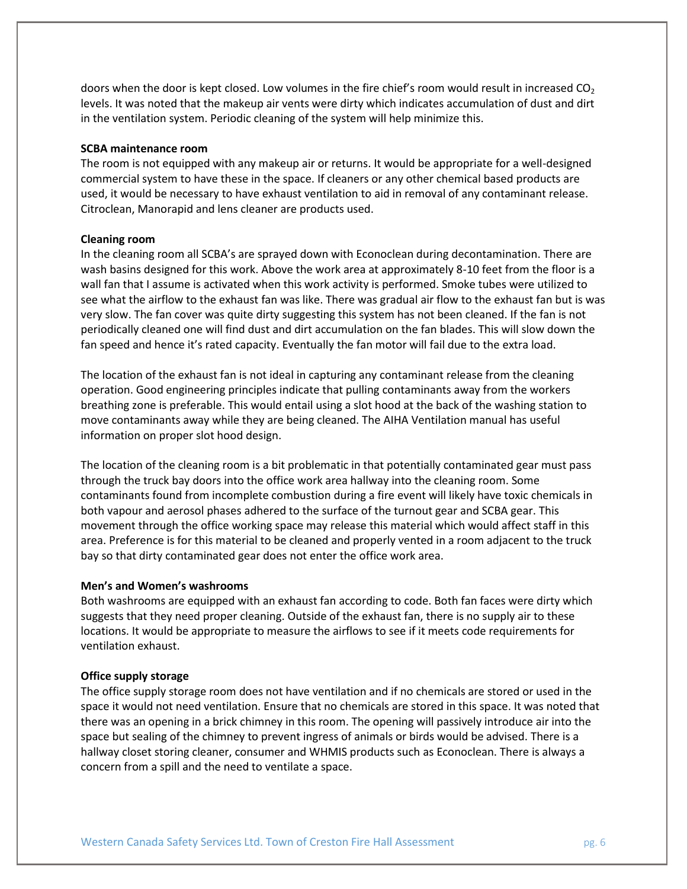doors when the door is kept closed. Low volumes in the fire chief's room would result in increased  $CO<sub>2</sub>$ levels. It was noted that the makeup air vents were dirty which indicates accumulation of dust and dirt in the ventilation system. Periodic cleaning of the system will help minimize this.

### **SCBA maintenance room**

The room is not equipped with any makeup air or returns. It would be appropriate for a well-designed commercial system to have these in the space. If cleaners or any other chemical based products are used, it would be necessary to have exhaust ventilation to aid in removal of any contaminant release. Citroclean, Manorapid and lens cleaner are products used.

#### **Cleaning room**

In the cleaning room all SCBA's are sprayed down with Econoclean during decontamination. There are wash basins designed for this work. Above the work area at approximately 8-10 feet from the floor is a wall fan that I assume is activated when this work activity is performed. Smoke tubes were utilized to see what the airflow to the exhaust fan was like. There was gradual air flow to the exhaust fan but is was very slow. The fan cover was quite dirty suggesting this system has not been cleaned. If the fan is not periodically cleaned one will find dust and dirt accumulation on the fan blades. This will slow down the fan speed and hence it's rated capacity. Eventually the fan motor will fail due to the extra load.

The location of the exhaust fan is not ideal in capturing any contaminant release from the cleaning operation. Good engineering principles indicate that pulling contaminants away from the workers breathing zone is preferable. This would entail using a slot hood at the back of the washing station to move contaminants away while they are being cleaned. The AIHA Ventilation manual has useful information on proper slot hood design.

The location of the cleaning room is a bit problematic in that potentially contaminated gear must pass through the truck bay doors into the office work area hallway into the cleaning room. Some contaminants found from incomplete combustion during a fire event will likely have toxic chemicals in both vapour and aerosol phases adhered to the surface of the turnout gear and SCBA gear. This movement through the office working space may release this material which would affect staff in this area. Preference is for this material to be cleaned and properly vented in a room adjacent to the truck bay so that dirty contaminated gear does not enter the office work area.

#### **Men's and Women's washrooms**

Both washrooms are equipped with an exhaust fan according to code. Both fan faces were dirty which suggests that they need proper cleaning. Outside of the exhaust fan, there is no supply air to these locations. It would be appropriate to measure the airflows to see if it meets code requirements for ventilation exhaust.

#### **Office supply storage**

The office supply storage room does not have ventilation and if no chemicals are stored or used in the space it would not need ventilation. Ensure that no chemicals are stored in this space. It was noted that there was an opening in a brick chimney in this room. The opening will passively introduce air into the space but sealing of the chimney to prevent ingress of animals or birds would be advised. There is a hallway closet storing cleaner, consumer and WHMIS products such as Econoclean. There is always a concern from a spill and the need to ventilate a space.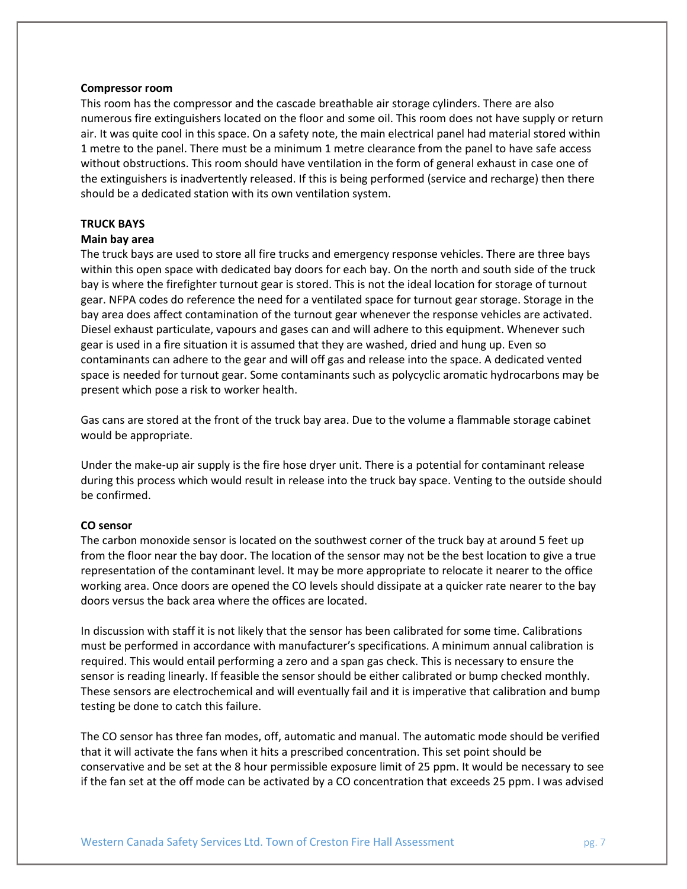#### **Compressor room**

This room has the compressor and the cascade breathable air storage cylinders. There are also numerous fire extinguishers located on the floor and some oil. This room does not have supply or return air. It was quite cool in this space. On a safety note, the main electrical panel had material stored within 1 metre to the panel. There must be a minimum 1 metre clearance from the panel to have safe access without obstructions. This room should have ventilation in the form of general exhaust in case one of the extinguishers is inadvertently released. If this is being performed (service and recharge) then there should be a dedicated station with its own ventilation system.

# **TRUCK BAYS**

### **Main bay area**

The truck bays are used to store all fire trucks and emergency response vehicles. There are three bays within this open space with dedicated bay doors for each bay. On the north and south side of the truck bay is where the firefighter turnout gear is stored. This is not the ideal location for storage of turnout gear. NFPA codes do reference the need for a ventilated space for turnout gear storage. Storage in the bay area does affect contamination of the turnout gear whenever the response vehicles are activated. Diesel exhaust particulate, vapours and gases can and will adhere to this equipment. Whenever such gear is used in a fire situation it is assumed that they are washed, dried and hung up. Even so contaminants can adhere to the gear and will off gas and release into the space. A dedicated vented space is needed for turnout gear. Some contaminants such as polycyclic aromatic hydrocarbons may be present which pose a risk to worker health.

Gas cans are stored at the front of the truck bay area. Due to the volume a flammable storage cabinet would be appropriate.

Under the make-up air supply is the fire hose dryer unit. There is a potential for contaminant release during this process which would result in release into the truck bay space. Venting to the outside should be confirmed.

## **CO sensor**

The carbon monoxide sensor is located on the southwest corner of the truck bay at around 5 feet up from the floor near the bay door. The location of the sensor may not be the best location to give a true representation of the contaminant level. It may be more appropriate to relocate it nearer to the office working area. Once doors are opened the CO levels should dissipate at a quicker rate nearer to the bay doors versus the back area where the offices are located.

In discussion with staff it is not likely that the sensor has been calibrated for some time. Calibrations must be performed in accordance with manufacturer's specifications. A minimum annual calibration is required. This would entail performing a zero and a span gas check. This is necessary to ensure the sensor is reading linearly. If feasible the sensor should be either calibrated or bump checked monthly. These sensors are electrochemical and will eventually fail and it is imperative that calibration and bump testing be done to catch this failure.

The CO sensor has three fan modes, off, automatic and manual. The automatic mode should be verified that it will activate the fans when it hits a prescribed concentration. This set point should be conservative and be set at the 8 hour permissible exposure limit of 25 ppm. It would be necessary to see if the fan set at the off mode can be activated by a CO concentration that exceeds 25 ppm. I was advised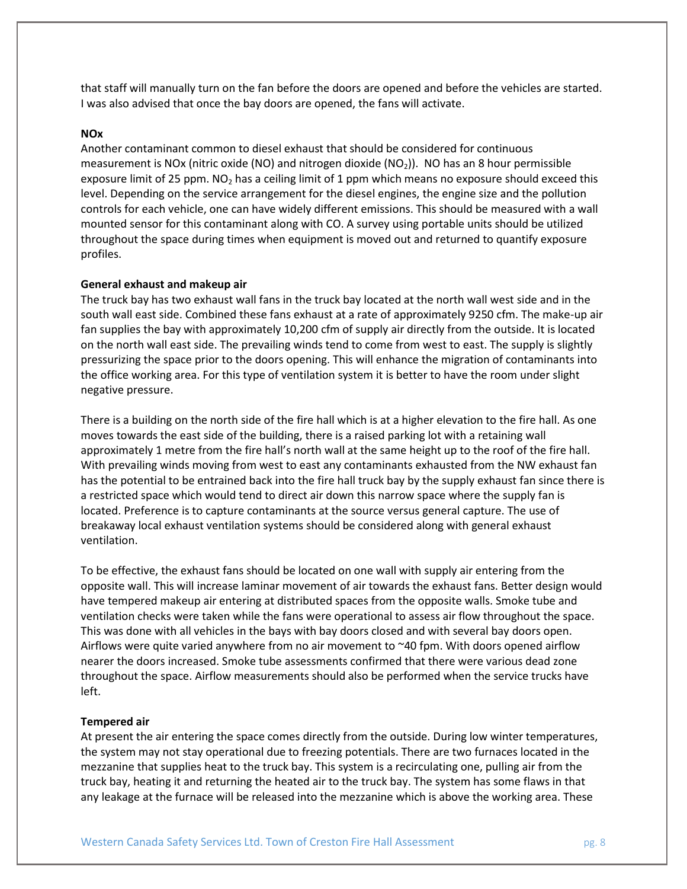that staff will manually turn on the fan before the doors are opened and before the vehicles are started. I was also advised that once the bay doors are opened, the fans will activate.

### **NOx**

Another contaminant common to diesel exhaust that should be considered for continuous measurement is NOx (nitric oxide (NO) and nitrogen dioxide (NO<sub>2</sub>)). NO has an 8 hour permissible exposure limit of 25 ppm.  $NO<sub>2</sub>$  has a ceiling limit of 1 ppm which means no exposure should exceed this level. Depending on the service arrangement for the diesel engines, the engine size and the pollution controls for each vehicle, one can have widely different emissions. This should be measured with a wall mounted sensor for this contaminant along with CO. A survey using portable units should be utilized throughout the space during times when equipment is moved out and returned to quantify exposure profiles.

## **General exhaust and makeup air**

The truck bay has two exhaust wall fans in the truck bay located at the north wall west side and in the south wall east side. Combined these fans exhaust at a rate of approximately 9250 cfm. The make-up air fan supplies the bay with approximately 10,200 cfm of supply air directly from the outside. It is located on the north wall east side. The prevailing winds tend to come from west to east. The supply is slightly pressurizing the space prior to the doors opening. This will enhance the migration of contaminants into the office working area. For this type of ventilation system it is better to have the room under slight negative pressure.

There is a building on the north side of the fire hall which is at a higher elevation to the fire hall. As one moves towards the east side of the building, there is a raised parking lot with a retaining wall approximately 1 metre from the fire hall's north wall at the same height up to the roof of the fire hall. With prevailing winds moving from west to east any contaminants exhausted from the NW exhaust fan has the potential to be entrained back into the fire hall truck bay by the supply exhaust fan since there is a restricted space which would tend to direct air down this narrow space where the supply fan is located. Preference is to capture contaminants at the source versus general capture. The use of breakaway local exhaust ventilation systems should be considered along with general exhaust ventilation.

To be effective, the exhaust fans should be located on one wall with supply air entering from the opposite wall. This will increase laminar movement of air towards the exhaust fans. Better design would have tempered makeup air entering at distributed spaces from the opposite walls. Smoke tube and ventilation checks were taken while the fans were operational to assess air flow throughout the space. This was done with all vehicles in the bays with bay doors closed and with several bay doors open. Airflows were quite varied anywhere from no air movement to ~40 fpm. With doors opened airflow nearer the doors increased. Smoke tube assessments confirmed that there were various dead zone throughout the space. Airflow measurements should also be performed when the service trucks have left.

# **Tempered air**

At present the air entering the space comes directly from the outside. During low winter temperatures, the system may not stay operational due to freezing potentials. There are two furnaces located in the mezzanine that supplies heat to the truck bay. This system is a recirculating one, pulling air from the truck bay, heating it and returning the heated air to the truck bay. The system has some flaws in that any leakage at the furnace will be released into the mezzanine which is above the working area. These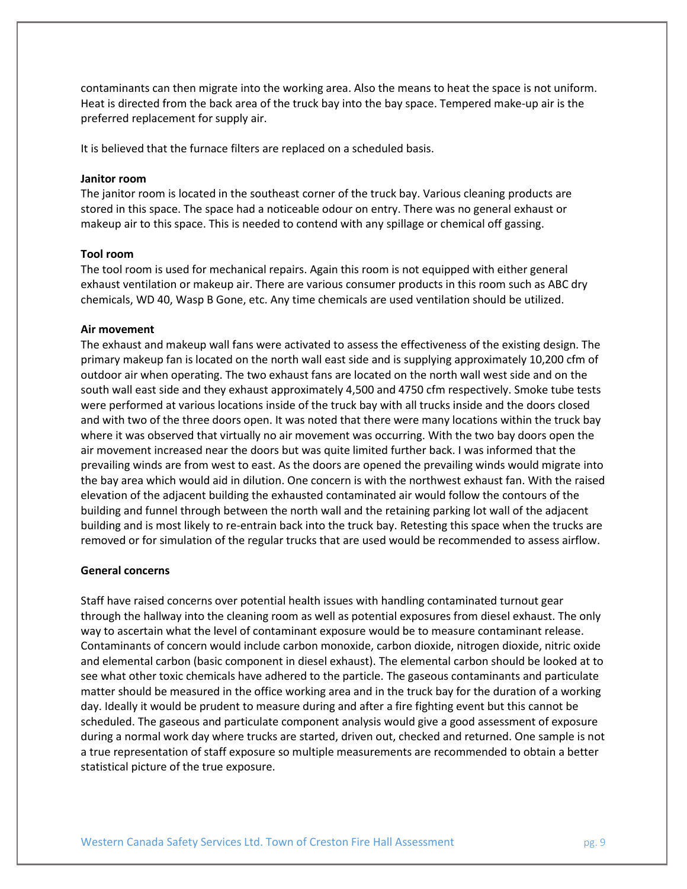contaminants can then migrate into the working area. Also the means to heat the space is not uniform. Heat is directed from the back area of the truck bay into the bay space. Tempered make-up air is the preferred replacement for supply air.

It is believed that the furnace filters are replaced on a scheduled basis.

## **Janitor room**

The janitor room is located in the southeast corner of the truck bay. Various cleaning products are stored in this space. The space had a noticeable odour on entry. There was no general exhaust or makeup air to this space. This is needed to contend with any spillage or chemical off gassing.

#### **Tool room**

The tool room is used for mechanical repairs. Again this room is not equipped with either general exhaust ventilation or makeup air. There are various consumer products in this room such as ABC dry chemicals, WD 40, Wasp B Gone, etc. Any time chemicals are used ventilation should be utilized.

#### **Air movement**

The exhaust and makeup wall fans were activated to assess the effectiveness of the existing design. The primary makeup fan is located on the north wall east side and is supplying approximately 10,200 cfm of outdoor air when operating. The two exhaust fans are located on the north wall west side and on the south wall east side and they exhaust approximately 4,500 and 4750 cfm respectively. Smoke tube tests were performed at various locations inside of the truck bay with all trucks inside and the doors closed and with two of the three doors open. It was noted that there were many locations within the truck bay where it was observed that virtually no air movement was occurring. With the two bay doors open the air movement increased near the doors but was quite limited further back. I was informed that the prevailing winds are from west to east. As the doors are opened the prevailing winds would migrate into the bay area which would aid in dilution. One concern is with the northwest exhaust fan. With the raised elevation of the adjacent building the exhausted contaminated air would follow the contours of the building and funnel through between the north wall and the retaining parking lot wall of the adjacent building and is most likely to re-entrain back into the truck bay. Retesting this space when the trucks are removed or for simulation of the regular trucks that are used would be recommended to assess airflow.

#### **General concerns**

Staff have raised concerns over potential health issues with handling contaminated turnout gear through the hallway into the cleaning room as well as potential exposures from diesel exhaust. The only way to ascertain what the level of contaminant exposure would be to measure contaminant release. Contaminants of concern would include carbon monoxide, carbon dioxide, nitrogen dioxide, nitric oxide and elemental carbon (basic component in diesel exhaust). The elemental carbon should be looked at to see what other toxic chemicals have adhered to the particle. The gaseous contaminants and particulate matter should be measured in the office working area and in the truck bay for the duration of a working day. Ideally it would be prudent to measure during and after a fire fighting event but this cannot be scheduled. The gaseous and particulate component analysis would give a good assessment of exposure during a normal work day where trucks are started, driven out, checked and returned. One sample is not a true representation of staff exposure so multiple measurements are recommended to obtain a better statistical picture of the true exposure.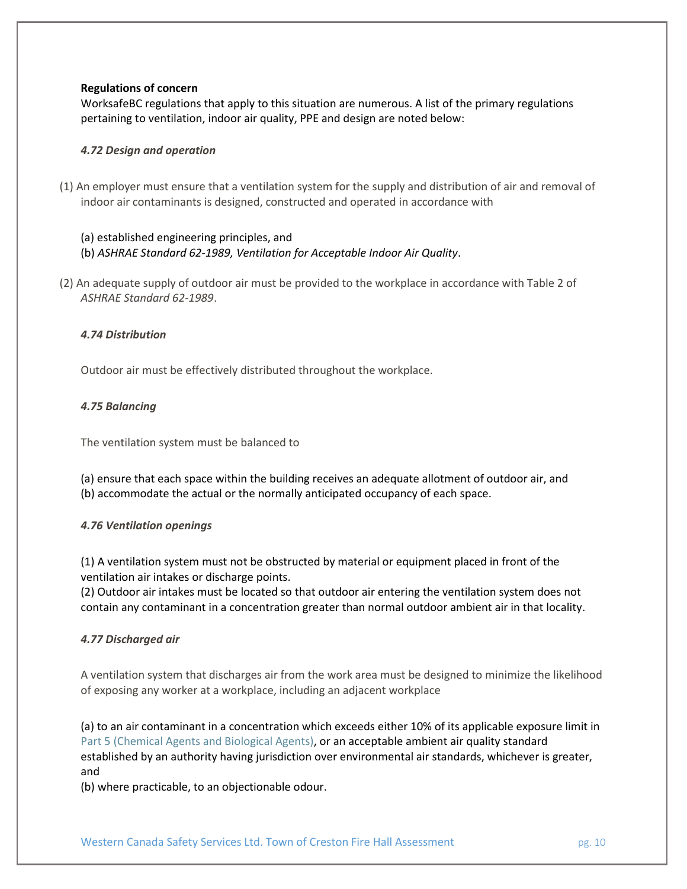# **Regulations of concern**

WorksafeBC regulations that apply to this situation are numerous. A list of the primary regulations pertaining to ventilation, indoor air quality, PPE and design are noted below:

## *4.72 Design and operation*

(1) An employer must ensure that a ventilation system for the supply and distribution of air and removal of indoor air contaminants is designed, constructed and operated in accordance with

# (a) established engineering principles, and (b) *ASHRAE Standard 62-1989, Ventilation for Acceptable Indoor Air Quality*.

(2) An adequate supply of outdoor air must be provided to the workplace in accordance with Table 2 of *ASHRAE Standard 62-1989*.

## *4.74 Distribution*

Outdoor air must be effectively distributed throughout the workplace.

## *4.75 Balancing*

The ventilation system must be balanced to

(a) ensure that each space within the building receives an adequate allotment of outdoor air, and (b) accommodate the actual or the normally anticipated occupancy of each space.

#### *4.76 Ventilation openings*

(1) A ventilation system must not be obstructed by material or equipment placed in front of the ventilation air intakes or discharge points.

(2) Outdoor air intakes must be located so that outdoor air entering the ventilation system does not contain any contaminant in a concentration greater than normal outdoor ambient air in that locality.

#### *4.77 Discharged air*

A ventilation system that discharges air from the work area must be designed to minimize the likelihood of exposing any worker at a workplace, including an adjacent workplace

(a) to an air contaminant in a concentration which exceeds either 10% of its applicable exposure limit in [Part 5 \(Chemical Agents and Biological Agents\),](https://www.worksafebc.com/en/law-policy/occupational-health-safety/searchable-ohs-regulation/ohs-regulation/part-05-chemical-and-biological-substances#633198A44CEF4886A110BF7BF1DD51EB) or an acceptable ambient air quality standard established by an authority having jurisdiction over environmental air standards, whichever is greater, and

(b) where practicable, to an objectionable odour.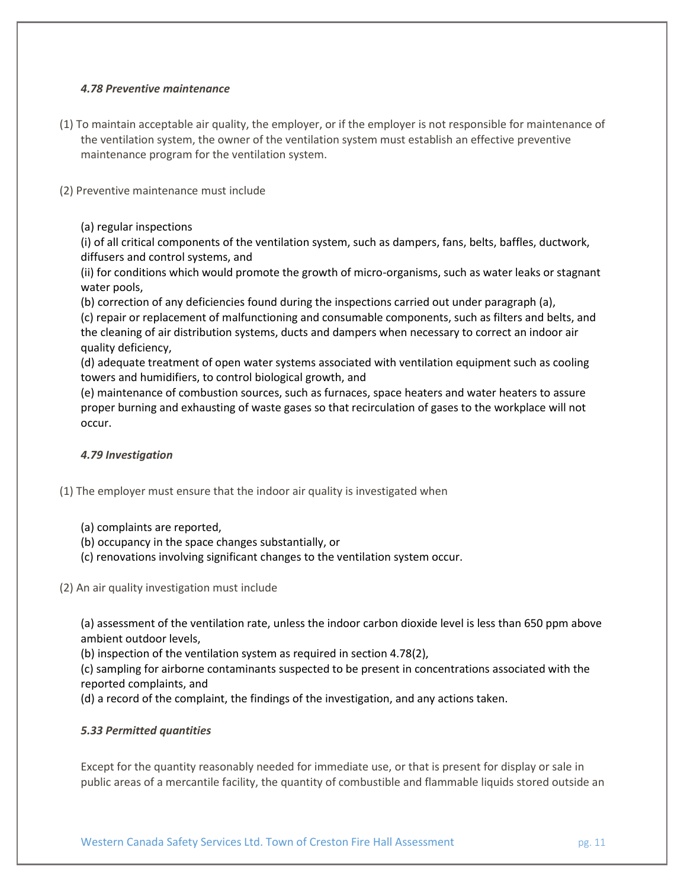# *4.78 Preventive maintenance*

- (1) To maintain acceptable air quality, the employer, or if the employer is not responsible for maintenance of the ventilation system, the owner of the ventilation system must establish an effective preventive maintenance program for the ventilation system.
- (2) Preventive maintenance must include

# (a) regular inspections

(i) of all critical components of the ventilation system, such as dampers, fans, belts, baffles, ductwork, diffusers and control systems, and

(ii) for conditions which would promote the growth of micro-organisms, such as water leaks or stagnant water pools,

(b) correction of any deficiencies found during the inspections carried out under paragraph (a), (c) repair or replacement of malfunctioning and consumable components, such as filters and belts, and the cleaning of air distribution systems, ducts and dampers when necessary to correct an indoor air quality deficiency,

(d) adequate treatment of open water systems associated with ventilation equipment such as cooling towers and humidifiers, to control biological growth, and

(e) maintenance of combustion sources, such as furnaces, space heaters and water heaters to assure proper burning and exhausting of waste gases so that recirculation of gases to the workplace will not occur.

# *4.79 Investigation*

- (1) The employer must ensure that the indoor air quality is investigated when
	- (a) complaints are reported,
	- (b) occupancy in the space changes substantially, or
	- (c) renovations involving significant changes to the ventilation system occur.

(2) An air quality investigation must include

(a) assessment of the ventilation rate, unless the indoor carbon dioxide level is less than 650 ppm above ambient outdoor levels,

(b) inspection of the ventilation system as required in section 4.78(2),

(c) sampling for airborne contaminants suspected to be present in concentrations associated with the reported complaints, and

(d) a record of the complaint, the findings of the investigation, and any actions taken.

# *5.33 Permitted quantities*

Except for the quantity reasonably needed for immediate use, or that is present for display or sale in public areas of a mercantile facility, the quantity of combustible and flammable liquids stored outside an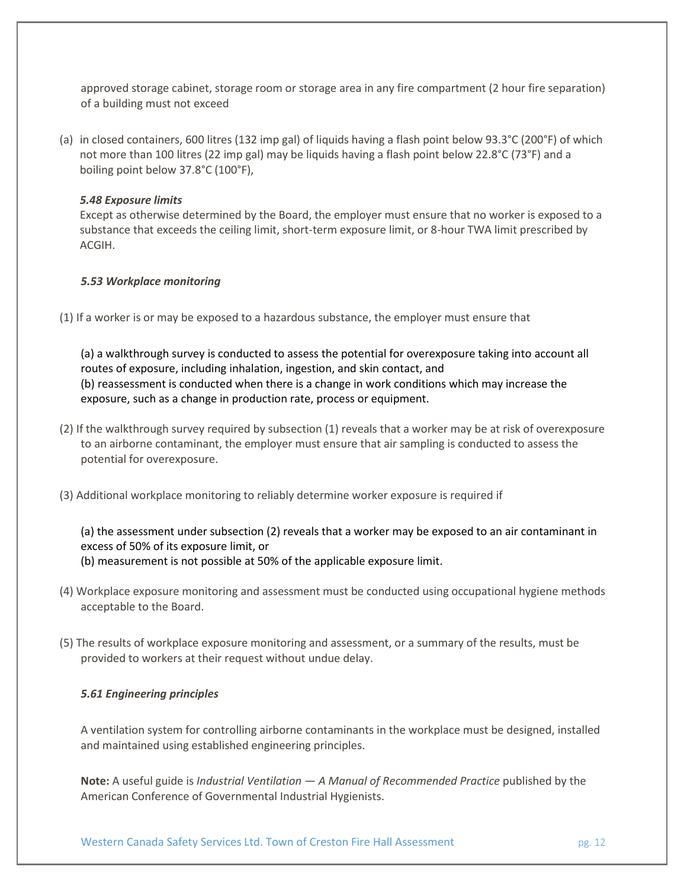approved storage cabinet, storage room or storage area in any fire compartment (2 hour fire separation) of a building must not exceed

(a) in closed containers, 600 litres (132 imp gal) of liquids having a flash point below 93.3°C (200°F) of which not more than 100 litres (22 imp gal) may be liquids having a flash point below 22.8°C (73°F) and a boiling point below 37.8°C (100°F),

# *5.48 Exposure limits*

Except as otherwise determined by the Board, the employer must ensure that no worker is exposed to a substance that exceeds the ceiling limit, short-term exposure limit, or 8-hour TWA limit prescribed by ACGIH.

## *5.53 Workplace monitoring*

(1) If a worker is or may be exposed to a hazardous substance, the employer must ensure that

(a) a walkthrough survey is conducted to assess the potential for overexposure taking into account all routes of exposure, including inhalation, ingestion, and skin contact, and (b) reassessment is conducted when there is a change in work conditions which may increase the exposure, such as a change in production rate, process or equipment.

- (2) If the walkthrough survey required by subsection (1) reveals that a worker may be at risk of overexposure to an airborne contaminant, the employer must ensure that air sampling is conducted to assess the potential for overexposure.
- (3) Additional workplace monitoring to reliably determine worker exposure is required if

(a) the assessment under subsection (2) reveals that a worker may be exposed to an air contaminant in excess of 50% of its exposure limit, or (b) measurement is not possible at 50% of the applicable exposure limit.

- (4) Workplace exposure monitoring and assessment must be conducted using occupational hygiene methods acceptable to the Board.
- (5) The results of workplace exposure monitoring and assessment, or a summary of the results, must be provided to workers at their request without undue delay.

### *5.61 Engineering principles*

A ventilation system for controlling airborne contaminants in the workplace must be designed, installed and maintained using established engineering principles.

**Note:** A useful guide is *Industrial Ventilation — A Manual of Recommended Practice* published by the American Conference of Governmental Industrial Hygienists.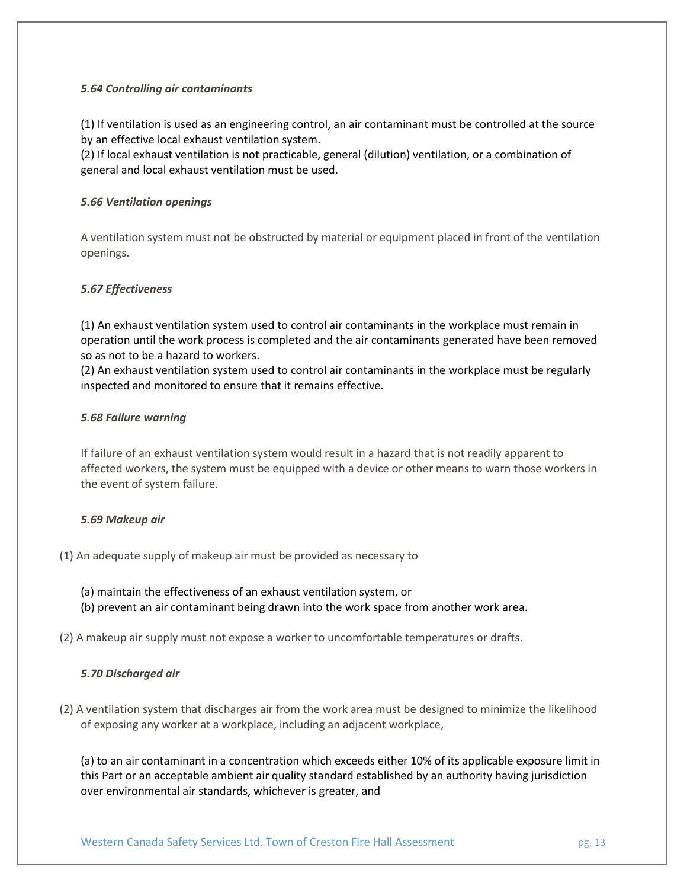# *5.64 Controlling air contaminants*

(1) If ventilation is used as an engineering control, an air contaminant must be controlled at the source by an effective local exhaust ventilation system.

(2) If local exhaust ventilation is not practicable, general (dilution) ventilation, or a combination of general and local exhaust ventilation must be used.

# *5.66 Ventilation openings*

A ventilation system must not be obstructed by material or equipment placed in front of the ventilation openings.

# *5.67 Effectiveness*

(1) An exhaust ventilation system used to control air contaminants in the workplace must remain in operation until the work process is completed and the air contaminants generated have been removed so as not to be a hazard to workers.

(2) An exhaust ventilation system used to control air contaminants in the workplace must be regularly inspected and monitored to ensure that it remains effective.

# *5.68 Failure warning*

If failure of an exhaust ventilation system would result in a hazard that is not readily apparent to affected workers, the system must be equipped with a device or other means to warn those workers in the event of system failure.

# *5.69 Makeup air*

- (1) An adequate supply of makeup air must be provided as necessary to
	- (a) maintain the effectiveness of an exhaust ventilation system, or (b) prevent an air contaminant being drawn into the work space from another work area.
- (2) A makeup air supply must not expose a worker to uncomfortable temperatures or drafts.

# *5.70 Discharged air*

(2) A ventilation system that discharges air from the work area must be designed to minimize the likelihood of exposing any worker at a workplace, including an adjacent workplace,

(a) to an air contaminant in a concentration which exceeds either 10% of its applicable exposure limit in this Part or an acceptable ambient air quality standard established by an authority having jurisdiction over environmental air standards, whichever is greater, and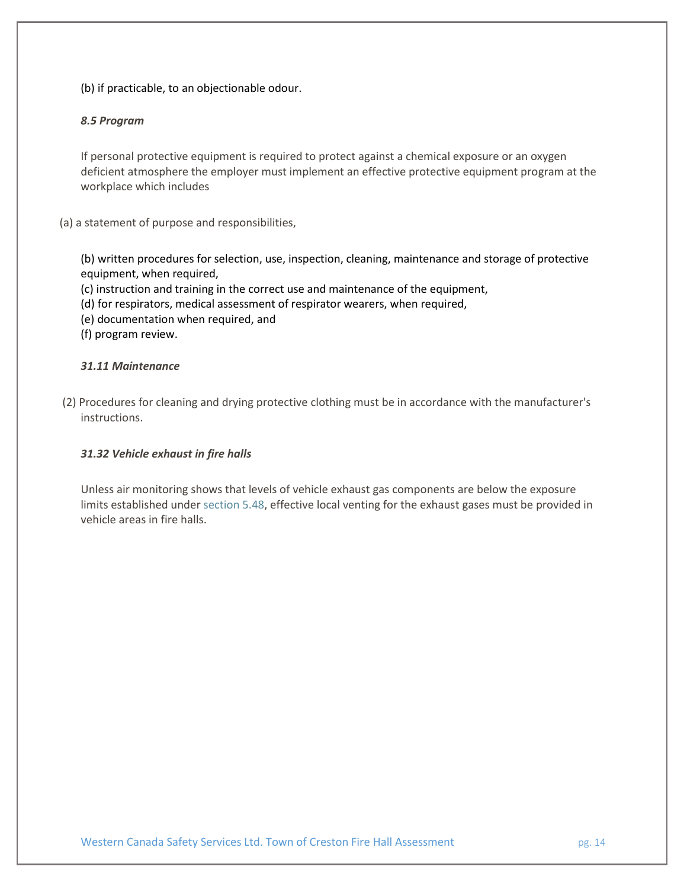(b) if practicable, to an objectionable odour.

# *8.5 Program*

If personal protective equipment is required to protect against a chemical exposure or an oxygen deficient atmosphere the employer must implement an effective protective equipment program at the workplace which includes

# (a) a statement of purpose and responsibilities,

(b) written procedures for selection, use, inspection, cleaning, maintenance and storage of protective equipment, when required,

(c) instruction and training in the correct use and maintenance of the equipment,

(d) for respirators, medical assessment of respirator wearers, when required,

- (e) documentation when required, and
- (f) program review.

# *31.11 Maintenance*

(2) Procedures for cleaning and drying protective clothing must be in accordance with the manufacturer's instructions.

# *31.32 Vehicle exhaust in fire halls*

Unless air monitoring shows that levels of vehicle exhaust gas components are below the exposure limits established under [section 5.48,](https://www.worksafebc.com/en/law-policy/occupational-health-safety/searchable-ohs-regulation/ohs-regulation/part-05-chemical-and-biological-substances#C0B2D52920764B9CA330A5564E846D7B) effective local venting for the exhaust gases must be provided in vehicle areas in fire halls.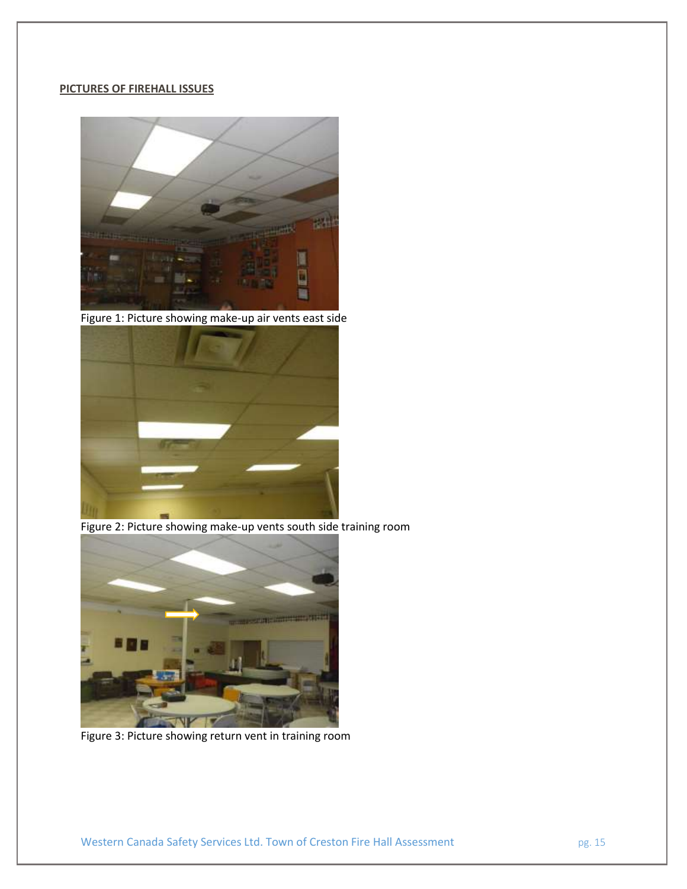# **PICTURES OF FIREHALL ISSUES**



Figure 1: Picture showing make-up air vents east side



Figure 2: Picture showing make-up vents south side training room



Figure 3: Picture showing return vent in training room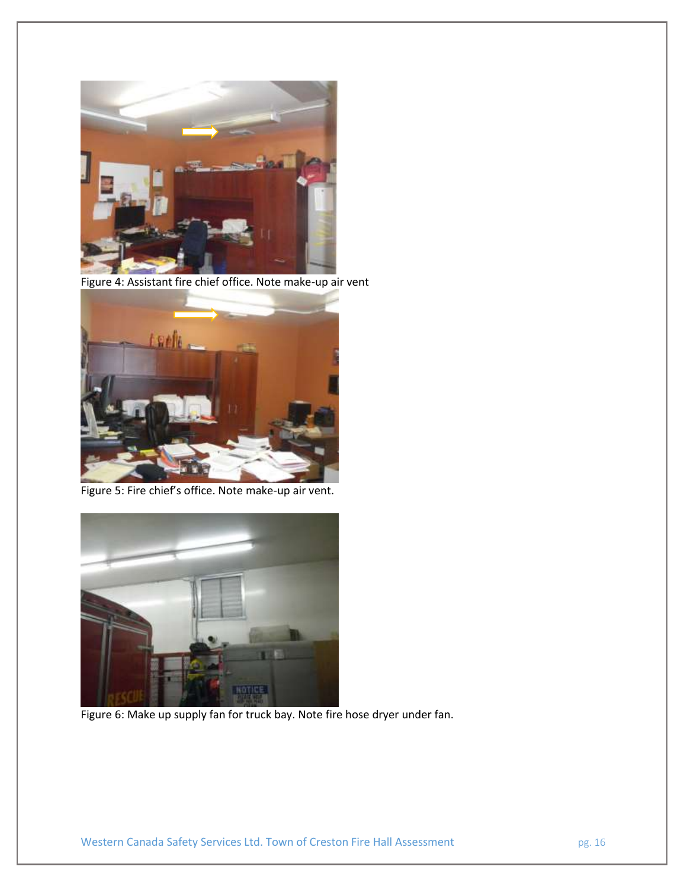

Figure 4: Assistant fire chief office. Note make-up air vent



Figure 5: Fire chief's office. Note make-up air vent.



Figure 6: Make up supply fan for truck bay. Note fire hose dryer under fan.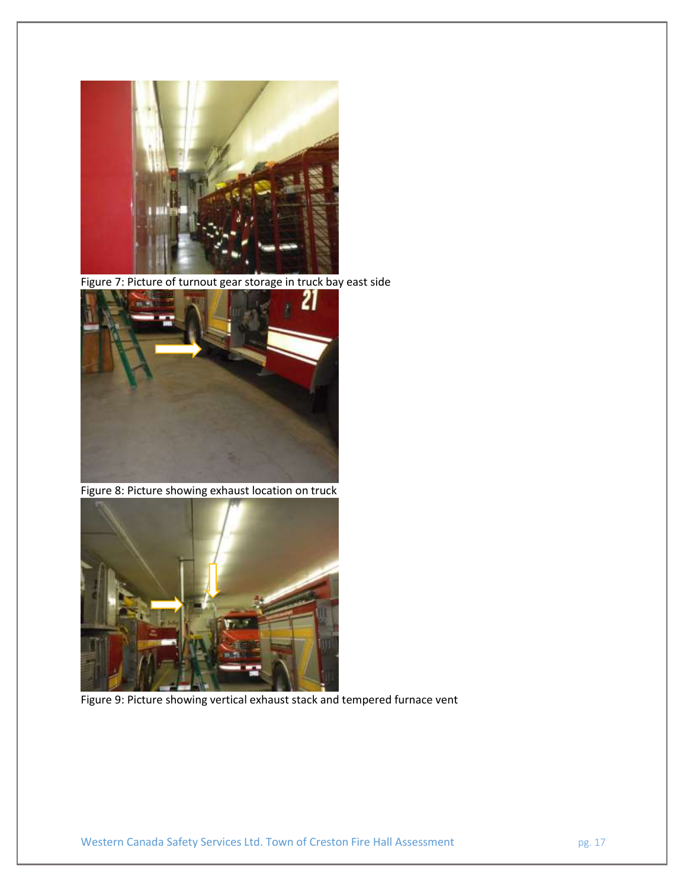

Figure 7: Picture of turnout gear storage in truck bay east side



Figure 8: Picture showing exhaust location on truck



Figure 9: Picture showing vertical exhaust stack and tempered furnace vent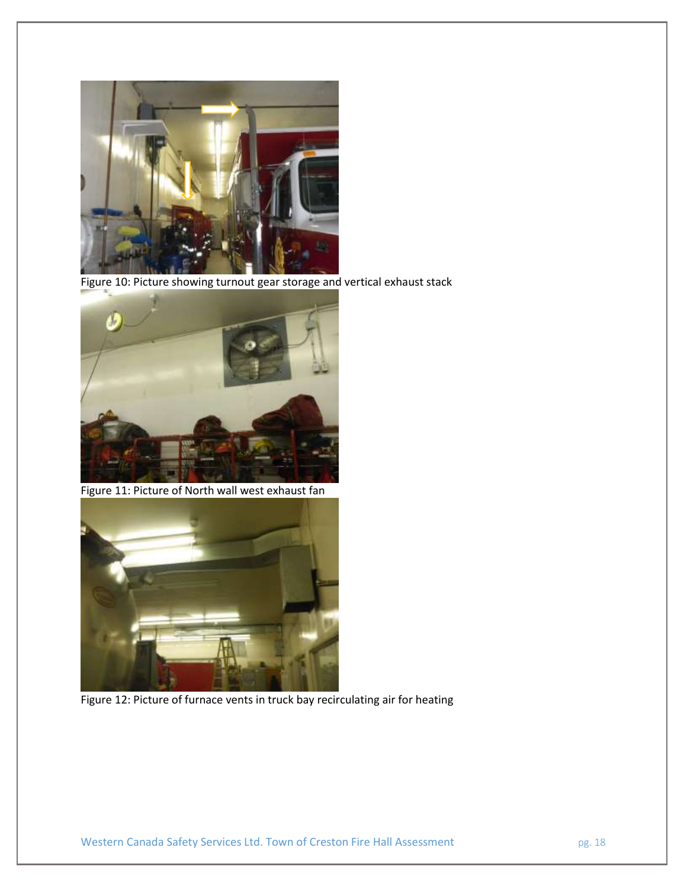

Figure 10: Picture showing turnout gear storage and vertical exhaust stack



Figure 11: Picture of North wall west exhaust fan



Figure 12: Picture of furnace vents in truck bay recirculating air for heating

Western Canada Safety Services Ltd. Town of Creston Fire Hall Assessment pg. 18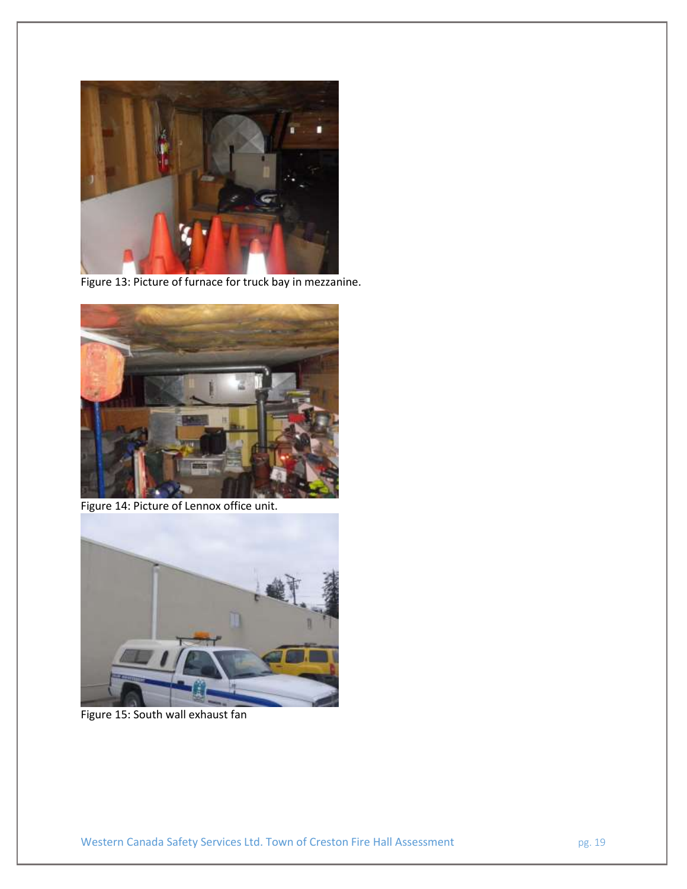

Figure 13: Picture of furnace for truck bay in mezzanine.



Figure 14: Picture of Lennox office unit.



Figure 15: South wall exhaust fan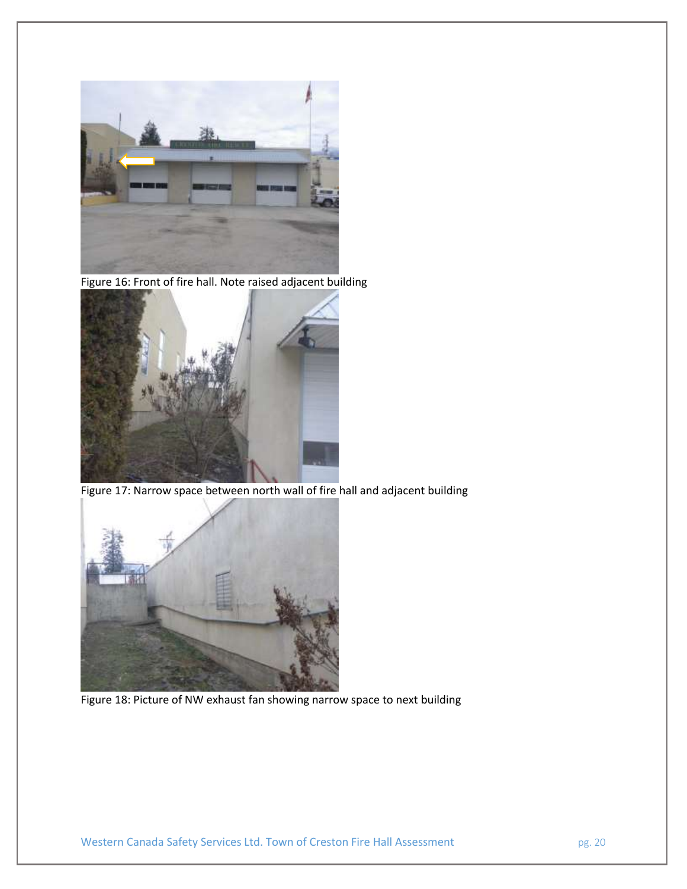

Figure 16: Front of fire hall. Note raised adjacent building



Figure 17: Narrow space between north wall of fire hall and adjacent building



Figure 18: Picture of NW exhaust fan showing narrow space to next building